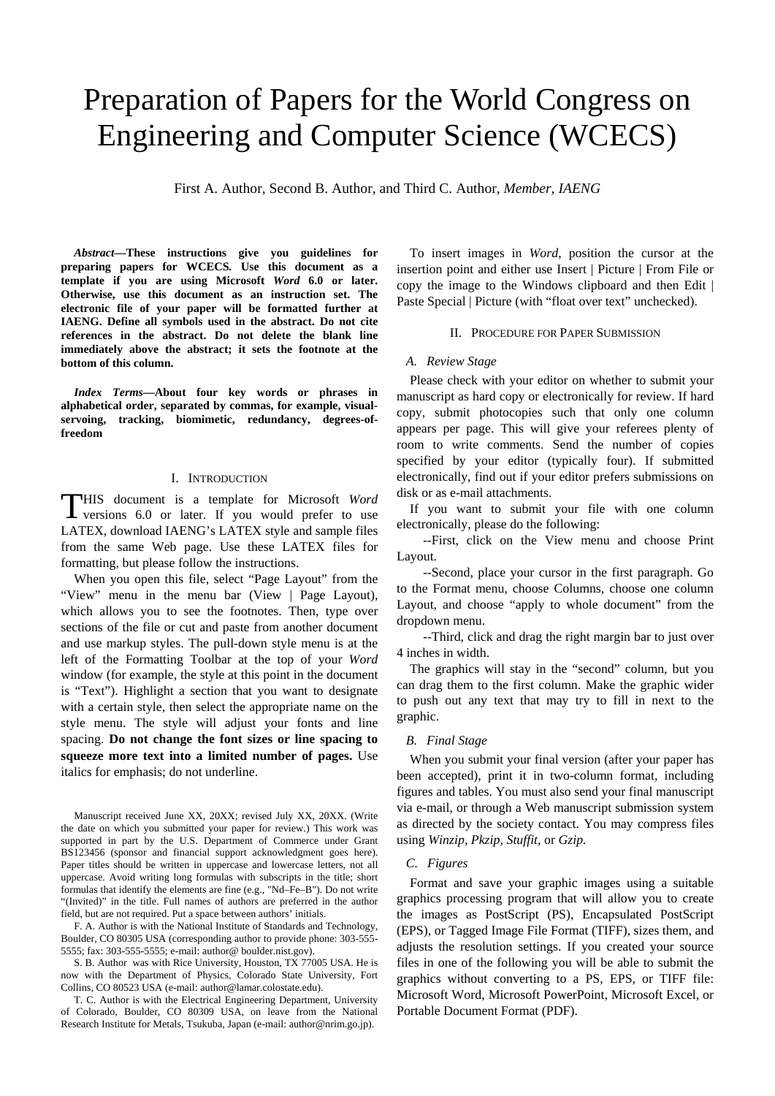# Preparation of Papers for the World Congress on Engineering and Computer Science (WCECS)

First A. Author, Second B. Author, and Third C. Author, *Member, IAENG*

*Abstract***—These instructions give you guidelines for preparing papers for WCECS***.* **Use this document as a template if you are using Microsoft** *Word* **6.0 or later. Otherwise, use this document as an instruction set. The electronic file of your paper will be formatted further at IAENG. Define all symbols used in the abstract. Do not cite references in the abstract. Do not delete the blank line immediately above the abstract; it sets the footnote at the bottom of this column.** 

*Index Terms***—About four key words or phrases in alphabetical order, separated by commas, for example, visualservoing, tracking, biomimetic, redundancy, degrees-offreedom** 

# I. INTRODUCTION

HIS document is a template for Microsoft *Word* THIS document is a template for Microsoft Word versions 6.0 or later. If you would prefer to use LATEX, download IAENG's LATEX style and sample files from the same Web page. Use these LATEX files for formatting, but please follow the instructions.

When you open this file, select "Page Layout" from the "View" menu in the menu bar (View | Page Layout), which allows you to see the footnotes. Then, type over sections of the file or cut and paste from another document and use markup styles. The pull-down style menu is at the left of the Formatting Toolbar at the top of your *Word* window (for example, the style at this point in the document is "Text"). Highlight a section that you want to designate with a certain style, then select the appropriate name on the style menu. The style will adjust your fonts and line spacing. **Do not change the font sizes or line spacing to squeeze more text into a limited number of pages.** Use italics for emphasis; do not underline.

Manuscript received June XX, 20XX; revised July XX, 20XX. (Write the date on which you submitted your paper for review.) This work was supported in part by the U.S. Department of Commerce under Grant BS123456 (sponsor and financial support acknowledgment goes here). Paper titles should be written in uppercase and lowercase letters, not all uppercase. Avoid writing long formulas with subscripts in the title; short formulas that identify the elements are fine (e.g., "Nd–Fe–B"). Do not write "(Invited)" in the title. Full names of authors are preferred in the author field, but are not required. Put a space between authors' initials.

F. A. Author is with the National Institute of Standards and Technology, Boulder, CO 80305 USA (corresponding author to provide phone: 303-555- 5555; fax: 303-555-5555; e-mail: author@ boulder.nist.gov).

S. B. Author was with Rice University, Houston, TX 77005 USA. He is now with the Department of Physics, Colorado State University, Fort Collins, CO 80523 USA (e-mail: author@lamar.colostate.edu).

T. C. Author is with the Electrical Engineering Department, University of Colorado, Boulder, CO 80309 USA, on leave from the National Research Institute for Metals, Tsukuba, Japan (e-mail: author@nrim.go.jp).

To insert images in *Word,* position the cursor at the insertion point and either use Insert | Picture | From File or copy the image to the Windows clipboard and then Edit | Paste Special | Picture (with "float over text" unchecked).

# II. PROCEDURE FOR PAPER SUBMISSION

# *A. Review Stage*

Please check with your editor on whether to submit your manuscript as hard copy or electronically for review. If hard copy, submit photocopies such that only one column appears per page. This will give your referees plenty of room to write comments. Send the number of copies specified by your editor (typically four). If submitted electronically, find out if your editor prefers submissions on disk or as e-mail attachments.

If you want to submit your file with one column electronically, please do the following:

 --First, click on the View menu and choose Print Layout.

 --Second, place your cursor in the first paragraph. Go to the Format menu, choose Columns, choose one column Layout, and choose "apply to whole document" from the dropdown menu.

 --Third, click and drag the right margin bar to just over 4 inches in width.

The graphics will stay in the "second" column, but you can drag them to the first column. Make the graphic wider to push out any text that may try to fill in next to the graphic.

# *B. Final Stage*

When you submit your final version (after your paper has been accepted), print it in two-column format, including figures and tables. You must also send your final manuscript via e-mail, or through a Web manuscript submission system as directed by the society contact. You may compress files using *Winzip, Pkzip, Stuffit,* or *Gzip.*

# *C. Figures*

Format and save your graphic images using a suitable graphics processing program that will allow you to create the images as PostScript (PS), Encapsulated PostScript (EPS), or Tagged Image File Format (TIFF), sizes them, and adjusts the resolution settings. If you created your source files in one of the following you will be able to submit the graphics without converting to a PS, EPS, or TIFF file: Microsoft Word, Microsoft PowerPoint, Microsoft Excel, or Portable Document Format (PDF).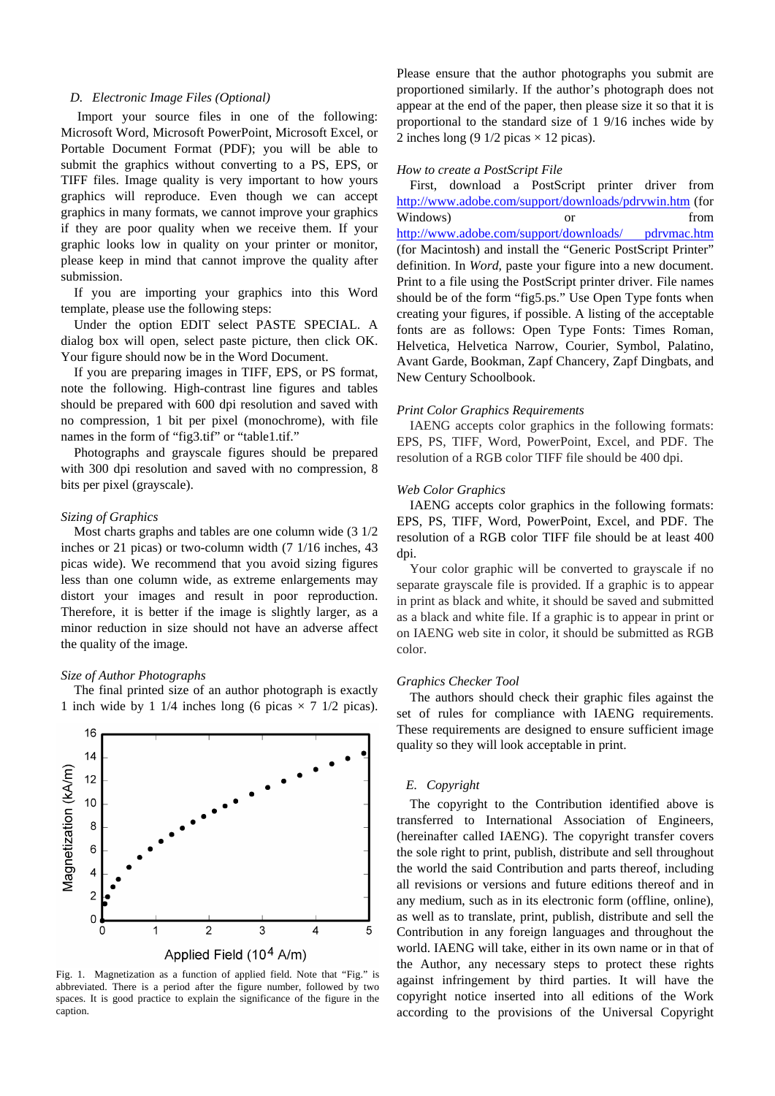# *D. Electronic Image Files (Optional)*

Import your source files in one of the following: Microsoft Word, Microsoft PowerPoint, Microsoft Excel, or Portable Document Format (PDF); you will be able to submit the graphics without converting to a PS, EPS, or TIFF files. Image quality is very important to how yours graphics will reproduce. Even though we can accept graphics in many formats, we cannot improve your graphics if they are poor quality when we receive them. If your graphic looks low in quality on your printer or monitor, please keep in mind that cannot improve the quality after submission.

If you are importing your graphics into this Word template, please use the following steps:

Under the option EDIT select PASTE SPECIAL. A dialog box will open, select paste picture, then click OK. Your figure should now be in the Word Document.

If you are preparing images in TIFF, EPS, or PS format, note the following. High-contrast line figures and tables should be prepared with 600 dpi resolution and saved with no compression, 1 bit per pixel (monochrome), with file names in the form of "fig3.tif" or "table1.tif."

Photographs and grayscale figures should be prepared with 300 dpi resolution and saved with no compression, 8 bits per pixel (grayscale).

#### *Sizing of Graphics*

Most charts graphs and tables are one column wide (3 1/2 inches or 21 picas) or two-column width (7 1/16 inches, 43 picas wide). We recommend that you avoid sizing figures less than one column wide, as extreme enlargements may distort your images and result in poor reproduction. Therefore, it is better if the image is slightly larger, as a minor reduction in size should not have an adverse affect the quality of the image.

# *Size of Author Photographs*

The final printed size of an author photograph is exactly 1 inch wide by 1 1/4 inches long (6 picas  $\times$  7 1/2 picas).



Fig. 1. Magnetization as a function of applied field. Note that "Fig." is abbreviated. There is a period after the figure number, followed by two spaces. It is good practice to explain the significance of the figure in the caption.

Please ensure that the author photographs you submit are proportioned similarly. If the author's photograph does not appear at the end of the paper, then please size it so that it is proportional to the standard size of 1 9/16 inches wide by 2 inches long (9  $1/2$  picas  $\times$  12 picas).

## *How to create a PostScript File*

First, download a PostScript printer driver from <http://www.adobe.com/support/downloads/pdrvwin.htm> (for Windows) or from [http://www.adobe.com/support/downloads/ pdrvmac.htm](http://www.adobe.com/support/downloads/) (for Macintosh) and install the "Generic PostScript Printer" definition. In *Word,* paste your figure into a new document. Print to a file using the PostScript printer driver. File names should be of the form "fig5.ps." Use Open Type fonts when creating your figures, if possible. A listing of the acceptable fonts are as follows: Open Type Fonts: Times Roman, Helvetica, Helvetica Narrow, Courier, Symbol, Palatino, Avant Garde, Bookman, Zapf Chancery, Zapf Dingbats, and New Century Schoolbook.

## *Print Color Graphics Requirements*

IAENG accepts color graphics in the following formats: EPS, PS, TIFF, Word, PowerPoint, Excel, and PDF. The resolution of a RGB color TIFF file should be 400 dpi.

## *Web Color Graphics*

IAENG accepts color graphics in the following formats: EPS, PS, TIFF, Word, PowerPoint, Excel, and PDF. The resolution of a RGB color TIFF file should be at least 400 dpi.

Your color graphic will be converted to grayscale if no separate grayscale file is provided. If a graphic is to appear in print as black and white, it should be saved and submitted as a black and white file. If a graphic is to appear in print or on IAENG web site in color, it should be submitted as RGB color.

#### *Graphics Checker Tool*

The authors should check their graphic files against the set of rules for compliance with IAENG requirements. These requirements are designed to ensure sufficient image quality so they will look acceptable in print.

# *E. Copyright*

The copyright to the Contribution identified above is transferred to International Association of Engineers, (hereinafter called IAENG). The copyright transfer covers the sole right to print, publish, distribute and sell throughout the world the said Contribution and parts thereof, including all revisions or versions and future editions thereof and in any medium, such as in its electronic form (offline, online), as well as to translate, print, publish, distribute and sell the Contribution in any foreign languages and throughout the world. IAENG will take, either in its own name or in that of the Author, any necessary steps to protect these rights against infringement by third parties. It will have the copyright notice inserted into all editions of the Work according to the provisions of the Universal Copyright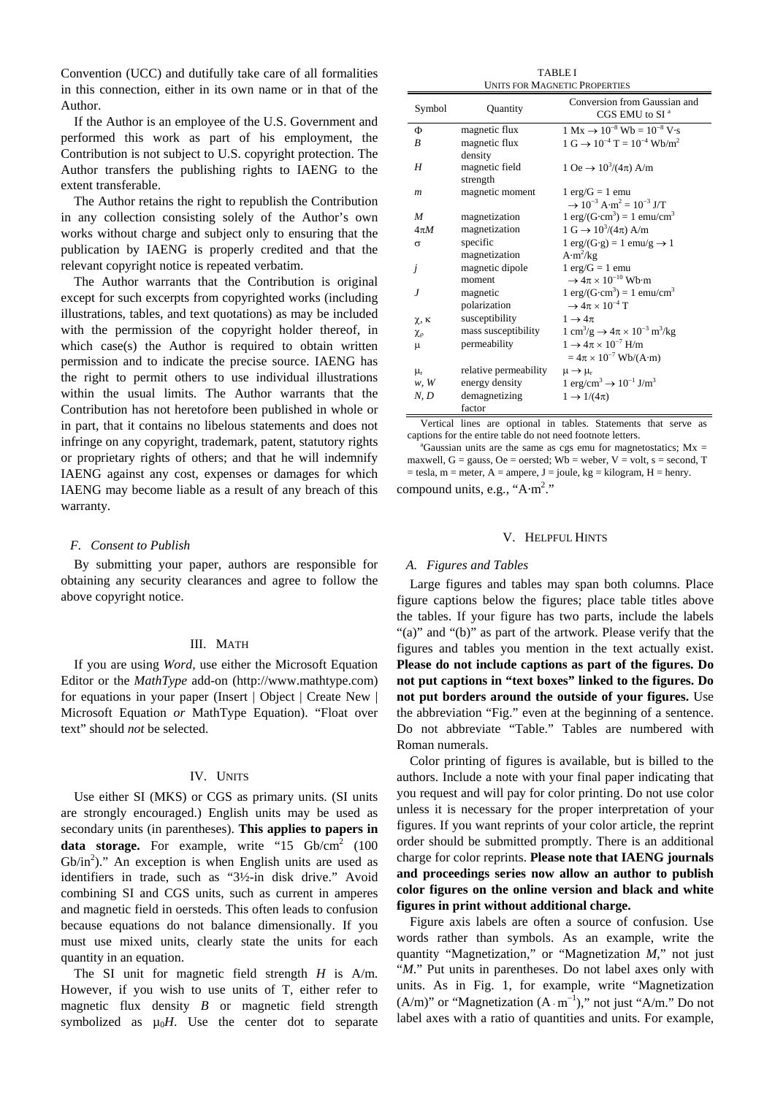Convention (UCC) and dutifully take care of all formalities in this connection, either in its own name or in that of the Author.

If the Author is an employee of the U.S. Government and performed this work as part of his employment, the Contribution is not subject to U.S. copyright protection. The Author transfers the publishing rights to IAENG to the extent transferable.

The Author retains the right to republish the Contribution in any collection consisting solely of the Author's own works without charge and subject only to ensuring that the publication by IAENG is properly credited and that the relevant copyright notice is repeated verbatim.

The Author warrants that the Contribution is original except for such excerpts from copyrighted works (including illustrations, tables, and text quotations) as may be included with the permission of the copyright holder thereof, in which case(s) the Author is required to obtain written permission and to indicate the precise source. IAENG has the right to permit others to use individual illustrations within the usual limits. The Author warrants that the Contribution has not heretofore been published in whole or in part, that it contains no libelous statements and does not infringe on any copyright, trademark, patent, statutory rights or proprietary rights of others; and that he will indemnify IAENG against any cost, expenses or damages for which IAENG may become liable as a result of any breach of this warranty.

## *F. Consent to Publish*

By submitting your paper, authors are responsible for obtaining any security clearances and agree to follow the above copyright notice.

#### III. MATH

If you are using *Word,* use either the Microsoft Equation Editor or the *MathType* add-on (http://www.mathtype.com) for equations in your paper (Insert | Object | Create New | Microsoft Equation *or* MathType Equation). "Float over text" should *not* be selected.

# IV. UNITS

Use either SI (MKS) or CGS as primary units. (SI units are strongly encouraged.) English units may be used as secondary units (in parentheses). **This applies to papers in data storage.** For example, write " $15$  Gb/cm<sup>2</sup> (100)  $Gb/in<sup>2</sup>)$ ." An exception is when English units are used as identifiers in trade, such as "3½-in disk drive." Avoid combining SI and CGS units, such as current in amperes and magnetic field in oersteds. This often leads to confusion because equations do not balance dimensionally. If you must use mixed units, clearly state the units for each quantity in an equation.

The SI unit for magnetic field strength *H* is A/m. However, if you wish to use units of T, either refer to magnetic flux density *B* or magnetic field strength symbolized as  $\mu_0H$ . Use the center dot to separate

| <b>TABLEI</b>                        |
|--------------------------------------|
| <b>UNITS FOR MAGNETIC PROPERTIES</b> |

| Symbol            | Quantity              | Conversion from Gaussian and<br>CGS EMU to SI <sup>a</sup>                       |
|-------------------|-----------------------|----------------------------------------------------------------------------------|
| Φ                 | magnetic flux         | $1 \text{ Mx} \rightarrow 10^{-8} \text{ Wb} = 10^{-8} \text{ V} \cdot \text{s}$ |
| B                 | magnetic flux         | $1 \text{ G} \rightarrow 10^{-4} \text{ T} = 10^{-4} \text{ Wb/m}^2$             |
|                   | density               |                                                                                  |
| Н                 | magnetic field        | 1 Oe $\rightarrow 10^3/(4\pi)$ A/m                                               |
|                   | strength              |                                                                                  |
| m                 | magnetic moment       | $1 \text{ erg/G} = 1 \text{ emu}$                                                |
|                   |                       | $\rightarrow 10^{-3}$ A·m <sup>2</sup> = 10 <sup>-3</sup> J/T                    |
| M                 | magnetization         | $1 \text{ erg}/(\text{G}\cdot\text{cm}^3) = 1 \text{ emu/cm}^3$                  |
| $4\pi M$          | magnetization         | $1 \text{ G} \rightarrow 10^3/(4\pi) \text{ A/m}$                                |
| $\sigma$          | specific              | $1 \text{ erg/(G·g)} = 1 \text{ emu/g} \rightarrow 1$                            |
|                   | magnetization         | $A \cdot m^2/kg$                                                                 |
| j                 | magnetic dipole       | $1 \text{ erg/G} = 1 \text{ emu}$                                                |
|                   | moment                | $\rightarrow$ 4 $\pi \times 10^{-10}$ Wb·m                                       |
| J                 | magnetic              | $1 \text{ erg}/(\text{G}\cdot \text{cm}^3) = 1 \text{ emu/cm}^3$                 |
|                   | polarization          | $\rightarrow$ 4 $\pi \times 10^{-4}$ T                                           |
| $\chi$ , $\kappa$ | susceptibility        | $1 \rightarrow 4\pi$                                                             |
| $\chi_{\rho}$     | mass susceptibility   | $1 \text{ cm}^3\text{/g} \rightarrow 4\pi \times 10^{-3} \text{ m}^3\text{/kg}$  |
| μ                 | permeability          | $1 \rightarrow 4\pi \times 10^{-7}$ H/m                                          |
|                   |                       | $= 4\pi \times 10^{-7}$ Wb/(A·m)                                                 |
| $\mu_{\rm r}$     | relative permeability | $\mu \rightarrow \mu_r$                                                          |
| w, W              | energy density        | $1 \text{ erg/cm}^3 \rightarrow 10^{-1} \text{ J/m}^3$                           |
| N. D              | demagnetizing         | $1 \rightarrow 1/(4\pi)$                                                         |
|                   | factor                |                                                                                  |

Vertical lines are optional in tables. Statements that serve as captions for the entire table do not need footnote letters.

compound units, e.g., " $A \cdot m^2$ ."  ${}^{\text{a}}$ Gaussian units are the same as cgs emu for magnetostatics; Mx = maxwell,  $G =$  gauss,  $Oe =$  oersted;  $Wb =$  weber,  $V =$  volt,  $s =$  second,  $T$  $=$  tesla,  $m =$  meter,  $A =$  ampere,  $J =$  joule,  $kg =$  kilogram,  $H =$  henry.

#### V. HELPFUL HINTS

# *A. Figures and Tables*

Large figures and tables may span both columns. Place figure captions below the figures; place table titles above the tables. If your figure has two parts, include the labels "(a)" and "(b)" as part of the artwork. Please verify that the figures and tables you mention in the text actually exist. **Please do not include captions as part of the figures. Do not put captions in "text boxes" linked to the figures. Do not put borders around the outside of your figures.** Use the abbreviation "Fig." even at the beginning of a sentence. Do not abbreviate "Table." Tables are numbered with Roman numerals.

Color printing of figures is available, but is billed to the authors. Include a note with your final paper indicating that you request and will pay for color printing. Do not use color unless it is necessary for the proper interpretation of your figures. If you want reprints of your color article, the reprint order should be submitted promptly. There is an additional charge for color reprints. **Please note that IAENG journals and proceedings series now allow an author to publish color figures on the online version and black and white figures in print without additional charge.** 

Figure axis labels are often a source of confusion. Use words rather than symbols. As an example, write the quantity "Magnetization," or "Magnetization *M*," not just "*M*." Put units in parentheses. Do not label axes only with units. As in Fig. 1, for example, write "Magnetization (A/m)" or "Magnetization  $(A \cdot m^{-1})$ ," not just "A/m." Do not label axes with a ratio of quantities and units. For example,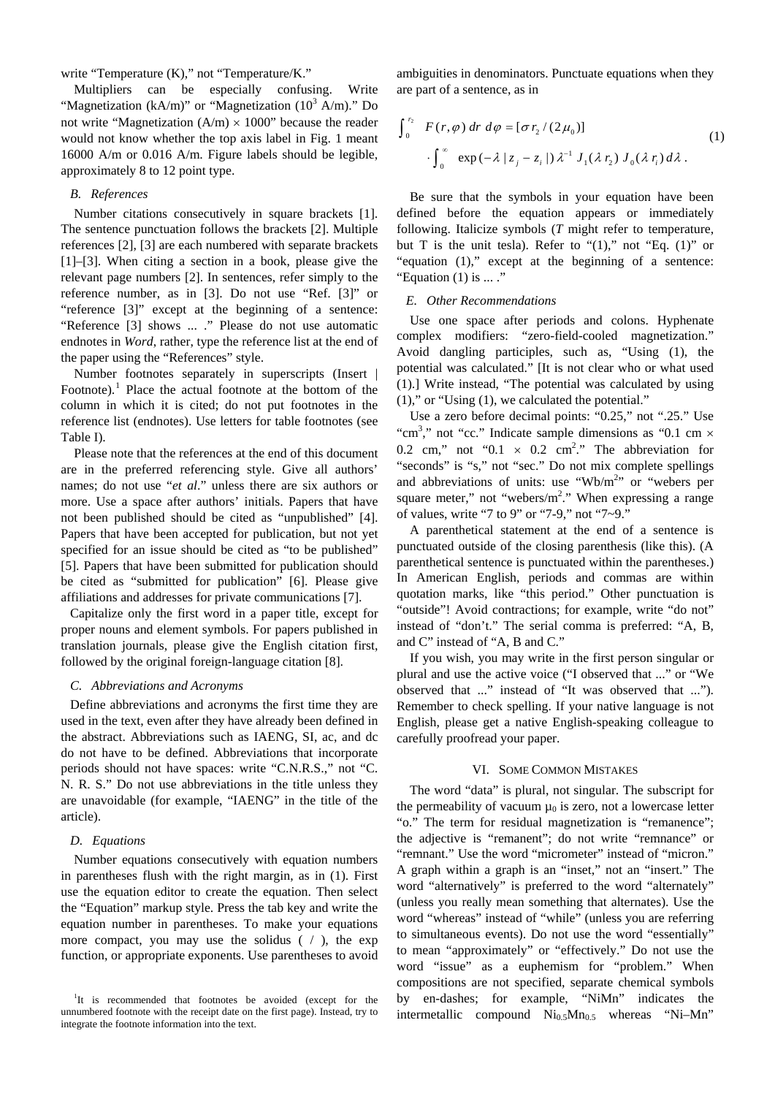write "Temperature (K)," not "Temperature/K."

Multipliers can be especially confusing. Write "Magnetization (kA/m)" or "Magnetization (10<sup>3</sup> A/m)." Do not write "Magnetization  $(A/m) \times 1000$ " because the reader would not know whether the top axis label in Fig. 1 meant 16000 A/m or 0.016 A/m. Figure labels should be legible, approximately 8 to 12 point type.

# *B. References*

Number citations consecutively in square brackets [1]. The sentence punctuation follows the brackets [2]. Multiple references [2], [3] are each numbered with separate brackets [1]–[3]. When citing a section in a book, please give the relevant page numbers [2]. In sentences, refer simply to the reference number, as in [3]. Do not use "Ref. [3]" or "reference [3]" except at the beginning of a sentence: "Reference [3] shows ... ." Please do not use automatic endnotes in *Word*, rather, type the reference list at the end of the paper using the "References" style.

Number footnotes separately in superscripts (Insert | Footnote).<sup>[1](#page-3-0)</sup> Place the actual footnote at the bottom of the column in which it is cited; do not put footnotes in the reference list (endnotes). Use letters for table footnotes (see Table I).

Please note that the references at the end of this document are in the preferred referencing style. Give all authors' names; do not use "*et al*." unless there are six authors or more. Use a space after authors' initials. Papers that have not been published should be cited as "unpublished" [4]. Papers that have been accepted for publication, but not yet specified for an issue should be cited as "to be published" [5]. Papers that have been submitted for publication should be cited as "submitted for publication" [6]. Please give affiliations and addresses for private communications [7].

Capitalize only the first word in a paper title, except for proper nouns and element symbols. For papers published in translation journals, please give the English citation first, followed by the original foreign-language citation [8].

## *C. Abbreviations and Acronyms*

Define abbreviations and acronyms the first time they are used in the text, even after they have already been defined in the abstract. Abbreviations such as IAENG, SI, ac, and dc do not have to be defined. Abbreviations that incorporate periods should not have spaces: write "C.N.R.S.," not "C. N. R. S." Do not use abbreviations in the title unless they are unavoidable (for example, "IAENG" in the title of the article).

# *D. Equations*

Number equations consecutively with equation numbers in parentheses flush with the right margin, as in (1). First use the equation editor to create the equation. Then select the "Equation" markup style. Press the tab key and write the equation number in parentheses. To make your equations more compact, you may use the solidus  $( / )$ , the exp function, or appropriate exponents. Use parentheses to avoid ambiguities in denominators. Punctuate equations when they are part of a sentence, as in

$$
\int_0^{r_2} F(r,\varphi) dr d\varphi = [\sigma r_2 / (2\mu_0)]
$$
  

$$
\int_0^{\infty} \exp(-\lambda |z_j - z_i|) \lambda^{-1} J_1(\lambda r_2) J_0(\lambda r_i) d\lambda.
$$
 (1)

Be sure that the symbols in your equation have been defined before the equation appears or immediately following. Italicize symbols (*T* might refer to temperature, but T is the unit tesla). Refer to " $(1)$ ," not "Eq.  $(1)$ " or "equation (1)," except at the beginning of a sentence: "Equation  $(1)$  is ... ."

#### *E. Other Recommendations*

Use one space after periods and colons. Hyphenate complex modifiers: "zero-field-cooled magnetization." Avoid dangling participles, such as, "Using (1), the potential was calculated." [It is not clear who or what used (1).] Write instead, "The potential was calculated by using (1)," or "Using (1), we calculated the potential."

Use a zero before decimal points: "0.25," not ".25." Use "cm<sup>3</sup>," not "cc." Indicate sample dimensions as "0.1 cm  $\times$ 0.2 cm," not "0.1  $\times$  0.2 cm<sup>2</sup>." The abbreviation for "seconds" is "s," not "sec." Do not mix complete spellings and abbreviations of units: use "Wb/ $m<sup>2</sup>$ " or "webers per square meter," not "webers/ $m^2$ ." When expressing a range of values, write "7 to 9" or "7-9," not "7~9."

A parenthetical statement at the end of a sentence is punctuated outside of the closing parenthesis (like this). (A parenthetical sentence is punctuated within the parentheses.) In American English, periods and commas are within quotation marks, like "this period." Other punctuation is "outside"! Avoid contractions; for example, write "do not" instead of "don't." The serial comma is preferred: "A, B, and C" instead of "A, B and C."

If you wish, you may write in the first person singular or plural and use the active voice ("I observed that ..." or "We observed that ..." instead of "It was observed that ..."). Remember to check spelling. If your native language is not English, please get a native English-speaking colleague to carefully proofread your paper.

#### VI. SOME COMMON MISTAKES

The word "data" is plural, not singular. The subscript for the permeability of vacuum  $\mu_0$  is zero, not a lowercase letter "o." The term for residual magnetization is "remanence"; the adjective is "remanent"; do not write "remnance" or "remnant." Use the word "micrometer" instead of "micron." A graph within a graph is an "inset," not an "insert." The word "alternatively" is preferred to the word "alternately" (unless you really mean something that alternates). Use the word "whereas" instead of "while" (unless you are referring to simultaneous events). Do not use the word "essentially" to mean "approximately" or "effectively." Do not use the word "issue" as a euphemism for "problem." When compositions are not specified, separate chemical symbols by en-dashes; for example, "NiMn" indicates the intermetallic compound  $Ni_{0.5}Mn_{0.5}$  whereas "Ni–Mn"

<span id="page-3-0"></span><sup>&</sup>lt;sup>1</sup>It is recommended that footnotes be avoided (except for the unnumbered footnote with the receipt date on the first page). Instead, try to integrate the footnote information into the text.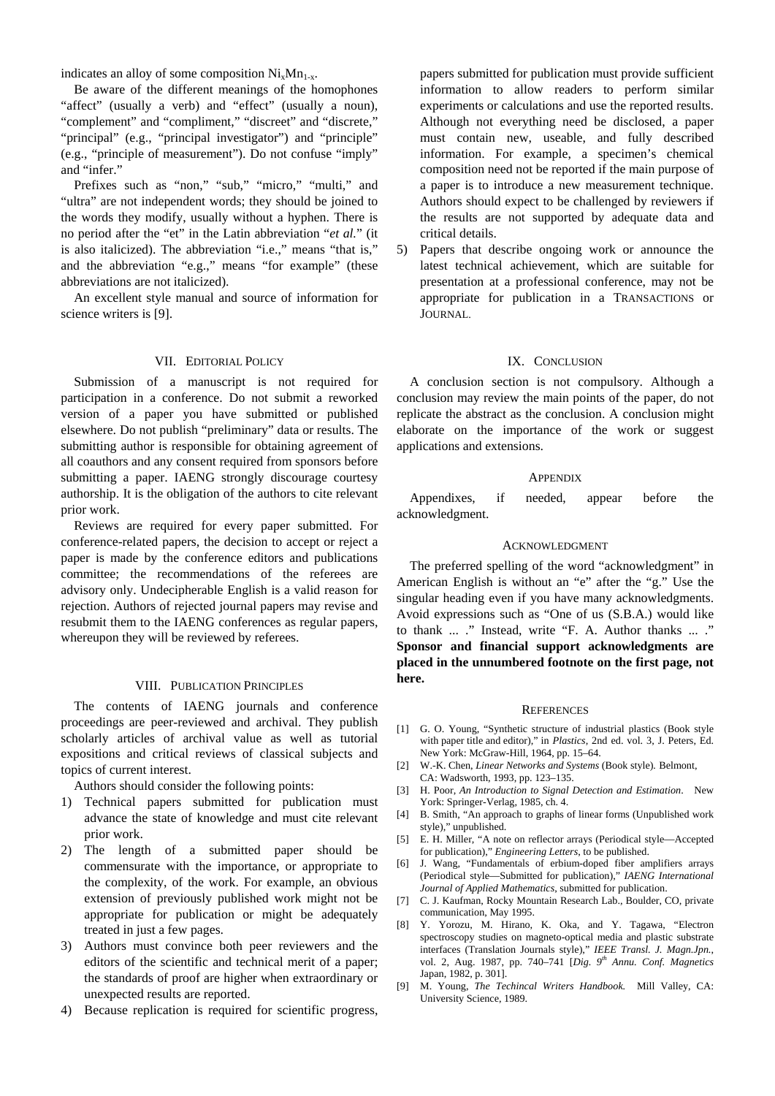indicates an alloy of some composition  $Ni_xMn_{1-x}$ .

Be aware of the different meanings of the homophones "affect" (usually a verb) and "effect" (usually a noun), "complement" and "compliment," "discreet" and "discrete," "principal" (e.g., "principal investigator") and "principle" (e.g., "principle of measurement"). Do not confuse "imply" and "infer."

Prefixes such as "non," "sub," "micro," "multi," and "ultra" are not independent words; they should be joined to the words they modify, usually without a hyphen. There is no period after the "et" in the Latin abbreviation "*et al.*" (it is also italicized). The abbreviation "i.e.," means "that is," and the abbreviation "e.g.," means "for example" (these abbreviations are not italicized).

An excellent style manual and source of information for science writers is [9].

# VII. EDITORIAL POLICY

Submission of a manuscript is not required for participation in a conference. Do not submit a reworked version of a paper you have submitted or published elsewhere. Do not publish "preliminary" data or results. The submitting author is responsible for obtaining agreement of all coauthors and any consent required from sponsors before submitting a paper. IAENG strongly discourage courtesy authorship. It is the obligation of the authors to cite relevant prior work.

Reviews are required for every paper submitted. For conference-related papers, the decision to accept or reject a paper is made by the conference editors and publications committee; the recommendations of the referees are advisory only. Undecipherable English is a valid reason for rejection. Authors of rejected journal papers may revise and resubmit them to the IAENG conferences as regular papers, whereupon they will be reviewed by referees.

## VIII. PUBLICATION PRINCIPLES

The contents of IAENG journals and conference proceedings are peer-reviewed and archival. They publish scholarly articles of archival value as well as tutorial expositions and critical reviews of classical subjects and topics of current interest.

Authors should consider the following points:

- 1) Technical papers submitted for publication must advance the state of knowledge and must cite relevant prior work.
- 2) The length of a submitted paper should be commensurate with the importance, or appropriate to the complexity, of the work. For example, an obvious extension of previously published work might not be appropriate for publication or might be adequately treated in just a few pages.
- 3) Authors must convince both peer reviewers and the editors of the scientific and technical merit of a paper; the standards of proof are higher when extraordinary or unexpected results are reported.
- 4) Because replication is required for scientific progress,

papers submitted for publication must provide sufficient information to allow readers to perform similar experiments or calculations and use the reported results. Although not everything need be disclosed, a paper must contain new, useable, and fully described information. For example, a specimen's chemical composition need not be reported if the main purpose of a paper is to introduce a new measurement technique. Authors should expect to be challenged by reviewers if the results are not supported by adequate data and critical details.

5) Papers that describe ongoing work or announce the latest technical achievement, which are suitable for presentation at a professional conference, may not be appropriate for publication in a TRANSACTIONS or JOURNAL.

# IX. CONCLUSION

A conclusion section is not compulsory. Although a conclusion may review the main points of the paper, do not replicate the abstract as the conclusion. A conclusion might elaborate on the importance of the work or suggest applications and extensions.

## **APPENDIX**

Appendixes, if needed, appear before the acknowledgment.

# ACKNOWLEDGMENT

The preferred spelling of the word "acknowledgment" in American English is without an "e" after the "g." Use the singular heading even if you have many acknowledgments. Avoid expressions such as "One of us (S.B.A.) would like to thank ... ." Instead, write "F. A. Author thanks ... ." **Sponsor and financial support acknowledgments are placed in the unnumbered footnote on the first page, not here.**

#### **REFERENCES**

- [1] G. O. Young, "Synthetic structure of industrial plastics (Book style with paper title and editor)," in *Plastics*, 2nd ed. vol. 3, J. Peters, Ed. New York: McGraw-Hill, 1964, pp. 15–64.
- [2] W.-K. Chen, *Linear Networks and Systems* (Book style)*.* Belmont, CA: Wadsworth, 1993, pp. 123–135.
- [3] H. Poor, *An Introduction to Signal Detection and Estimation*. New York: Springer-Verlag, 1985, ch. 4.
- [4] B. Smith, "An approach to graphs of linear forms (Unpublished work style)," unpublished.
- [5] E. H. Miller, "A note on reflector arrays (Periodical style—Accepted for publication)," *Engineering Letters*, to be published.
- [6] J. Wang, "Fundamentals of erbium-doped fiber amplifiers arrays (Periodical style—Submitted for publication)," *IAENG International Journal of Applied Mathematics*, submitted for publication.
- [7] C. J. Kaufman, Rocky Mountain Research Lab., Boulder, CO, private communication, May 1995.
- [8] Y. Yorozu, M. Hirano, K. Oka, and Y. Tagawa, "Electron spectroscopy studies on magneto-optical media and plastic substrate interfaces (Translation Journals style)," *IEEE Transl. J. Magn.Jpn.*, vol. 2, Aug. 1987, pp. 740–741 [*Dig. 9th Annu. Conf. Magnetics* Japan, 1982, p. 301].
- [9] M. Young, *The Techincal Writers Handbook.* Mill Valley, CA: University Science, 1989.